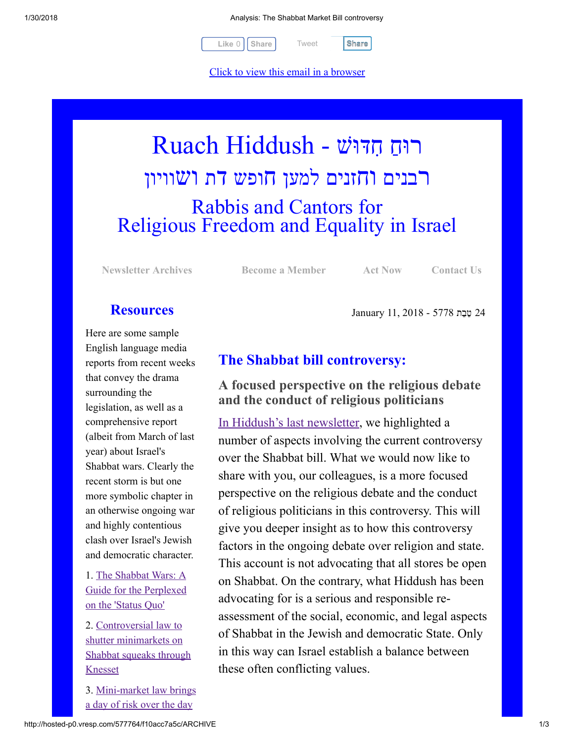1/30/2018 Analysis: The Shabbat Market Bill controversy

[Tweet](https://twitter.com/intent/tweet?original_referer=http%3A%2F%2Fhosted-p0.vresp.com%2F577764%2Ff10acc7a5c%2FARCHIVE&ref_src=twsrc%5Etfw&text=Analysis%3A%20The%20Shabbat%20Market%20Bill%20controversy&tw_p=tweetbutton&url=http%3A%2F%2Fhosted-p0.vresp.com%2F577764%2Ff10acc7a5c%2FARCHIVE%23.WnBFvALNT54.twitter)

 $Like 0$   $\vert$  [Share](javascript:void(0);)  $\vert$  Tweet  $\vert$  Share

Click to view this email in a browser

# רוּחַ חִדּוּשׁ - Ruach Hiddush רבנים וחזנים למען חופש דת ושוויון Rabbis and Cantors for Religious Freedom and Equality in Israel

[Newsletter Archives](http://rrfei.org/newsletters/) [Become a Member](http://rrfei.org/about/registration/) [Act Now](http://rrfei.org/act/) [Contact Us](http://rrfei.org/contact-us/)

24 ֵט ֵבת 5778 - 2018 11, January

# **Resources**

Here are some sample English language media reports from recent weeks that convey the drama surrounding the legislation, as well as a comprehensive report (albeit from March of last year) about Israel's Shabbat wars. Clearly the recent storm is but one more symbolic chapter in an otherwise ongoing war and highly contentious clash over Israel's Jewish and democratic character.

1. The Shabbat Wars: A [Guide for the Perplexed](https://en.idi.org.il/articles/14015) on the 'Status Quo'

2. Controversial law to shutter minimarkets on [Shabbat squeaks through](https://www.timesofisrael.com/controversial-bid-to-shutter-minimarkets-on-shabbat-squeaks-through-knesset/) Knesset

[3. Mini-market law brings](https://www.timesofisrael.com/minimarket-law-brings-a-day-of-risk-over-the-day-of-rest/) a day of risk over the day

# The Shabbat bill controversy:

## A focused perspective on the religious debate and the conduct of religious politicians

[In Hiddush's last newsletter](http://hosted.verticalresponse.com/577764/24eae1cd1b/1468741220/1f23168500/), we highlighted a number of aspects involving the current controversy over the Shabbat bill. What we would now like to share with you, our colleagues, is a more focused perspective on the religious debate and the conduct of religious politicians in this controversy. This will give you deeper insight as to how this controversy factors in the ongoing debate over religion and state. This account is not advocating that all stores be open on Shabbat. On the contrary, what Hiddush has been advocating for is a serious and responsible reassessment of the social, economic, and legal aspects of Shabbat in the Jewish and democratic State. Only in this way can Israel establish a balance between these often conflicting values.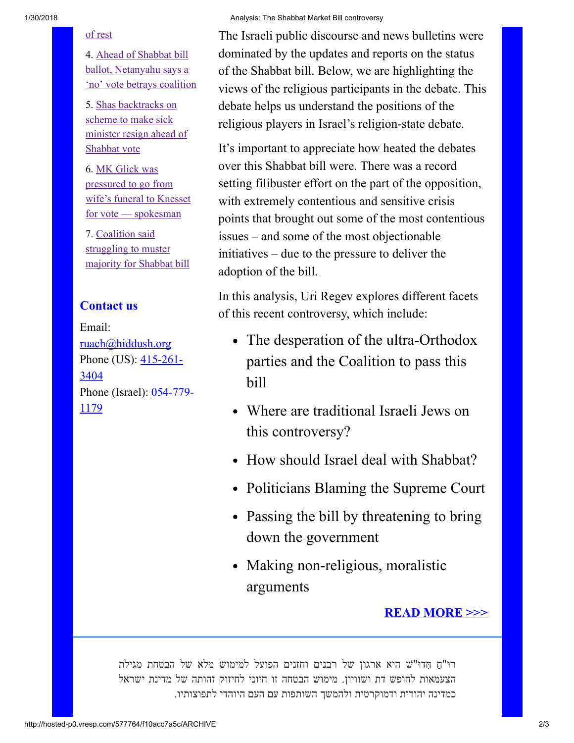#### [of rest](https://www.timesofisrael.com/minimarket-law-brings-a-day-of-risk-over-the-day-of-rest/)

4. Ahead of Shabbat bill ballot, Netanyahu says a ['no' vote betrays coalition](https://www.timesofisrael.com/ahead-of-shabbat-bill-ballot-netanyahu-warns-no-votes-could-topple-coalition/)

5. Shas backtracks on scheme to make sick [minister resign ahead of](https://www.timesofisrael.com/shas-backtracks-on-scheme-to-make-sick-minister-resign-ahead-of-shabbat-vote/) Shabbat vote

6. MK Glick was pressured to go from [wife's funeral to Knesset](https://www.timesofisrael.com/mk-glick-was-pressured-to-go-from-wifes-funeral-to-knesset-for-vote-spokesman/) for vote — spokesman

7. Coalition said struggling to muster [majority for Shabbat bill](https://www.timesofisrael.com/coalition-said-struggling-to-muster-majority-for-shabbat-bill/)

## Contact us

Email: [ruach@hiddush.org](http://hosted-p0.vresp.com/577764/f10acc7a5c/ruach@hiddush.org) Phone (US):  $415-261-$ 3404 [Phone \(Israel\): 054-779-](callto:054-779-1179) 1179

#### 1/30/2018 Analysis: The Shabbat Market Bill controversy

The Israeli public discourse and news bulletins were dominated by the updates and reports on the status of the Shabbat bill. Below, we are highlighting the views of the religious participants in the debate. This debate helps us understand the positions of the religious players in Israel's religion-state debate.

It's important to appreciate how heated the debates over this Shabbat bill were. There was a record setting filibuster effort on the part of the opposition, with extremely contentious and sensitive crisis points that brought out some of the most contentious issues – and some of the most objectionable initiatives – due to the pressure to deliver the adoption of the bill.

In this analysis, Uri Regev explores different facets of this recent controversy, which include:

- The desperation of the ultra-Orthodox parties and the Coalition to pass this bill
- Where are traditional Israeli Jews on this controversy?
- How should Israel deal with Shabbat?
- Politicians Blaming the Supreme Court
- Passing the bill by threatening to bring down the government
- Making non-religious, moralistic arguments

### [READ MORE >>>](http://rrfei.org/2018/01/shabbat-bill-controversy-focused-perspective-religious-debate-conduct-religious-politicians/)

ַ רוּ"ח ִ ּ חדוּ"שׁ היא ארגון של רבנים וחזנים הפועל למימוש מלא של הבטחת מגילת הצעמאות לחופש דת ושוויון. מימוש הבטחה זו חיוני לחיזוק זהותה של מדינת ישראל כמדינה יהודית ודמוקרטית ולהמשך השותפות עם העם היוהדי לתפוצותיו.